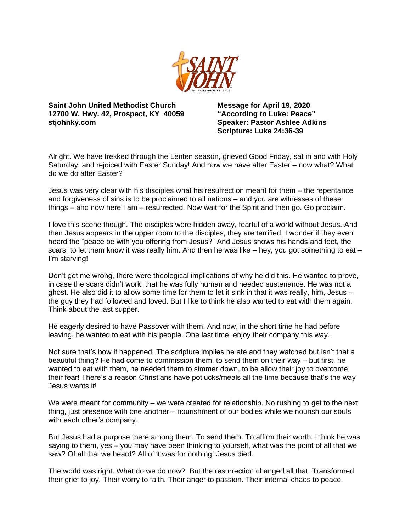

**Saint John United Methodist Church 12700 W. Hwy. 42, Prospect, KY 40059 stjohnky.com**

**Message for April 19, 2020 "According to Luke: Peace" Speaker: Pastor Ashlee Adkins Scripture: Luke 24:36-39**

Alright. We have trekked through the Lenten season, grieved Good Friday, sat in and with Holy Saturday, and rejoiced with Easter Sunday! And now we have after Easter – now what? What do we do after Easter?

Jesus was very clear with his disciples what his resurrection meant for them – the repentance and forgiveness of sins is to be proclaimed to all nations – and you are witnesses of these things – and now here I am – resurrected. Now wait for the Spirit and then go. Go proclaim.

I love this scene though. The disciples were hidden away, fearful of a world without Jesus. And then Jesus appears in the upper room to the disciples, they are terrified, I wonder if they even heard the "peace be with you offering from Jesus?" And Jesus shows his hands and feet, the scars, to let them know it was really him. And then he was like  $-$  hey, you got something to eat  $-$ I'm starving!

Don't get me wrong, there were theological implications of why he did this. He wanted to prove, in case the scars didn't work, that he was fully human and needed sustenance. He was not a ghost. He also did it to allow some time for them to let it sink in that it was really, him, Jesus – the guy they had followed and loved. But I like to think he also wanted to eat with them again. Think about the last supper.

He eagerly desired to have Passover with them. And now, in the short time he had before leaving, he wanted to eat with his people. One last time, enjoy their company this way.

Not sure that's how it happened. The scripture implies he ate and they watched but isn't that a beautiful thing? He had come to commission them, to send them on their way – but first, he wanted to eat with them, he needed them to simmer down, to be allow their joy to overcome their fear! There's a reason Christians have potlucks/meals all the time because that's the way Jesus wants it!

We were meant for community – we were created for relationship. No rushing to get to the next thing, just presence with one another – nourishment of our bodies while we nourish our souls with each other's company.

But Jesus had a purpose there among them. To send them. To affirm their worth. I think he was saying to them, yes – you may have been thinking to yourself, what was the point of all that we saw? Of all that we heard? All of it was for nothing! Jesus died.

The world was right. What do we do now? But the resurrection changed all that. Transformed their grief to joy. Their worry to faith. Their anger to passion. Their internal chaos to peace.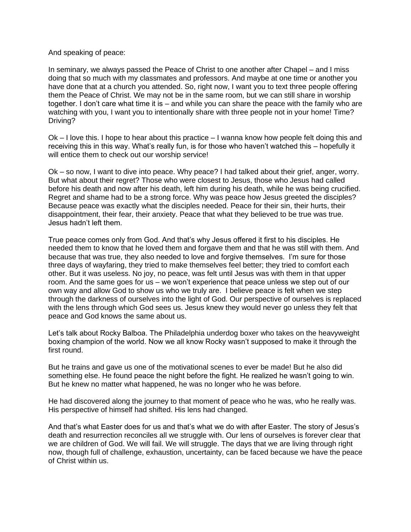## And speaking of peace:

In seminary, we always passed the Peace of Christ to one another after Chapel – and I miss doing that so much with my classmates and professors. And maybe at one time or another you have done that at a church you attended. So, right now, I want you to text three people offering them the Peace of Christ. We may not be in the same room, but we can still share in worship together. I don't care what time it is – and while you can share the peace with the family who are watching with you, I want you to intentionally share with three people not in your home! Time? Driving?

Ok – I love this. I hope to hear about this practice – I wanna know how people felt doing this and receiving this in this way. What's really fun, is for those who haven't watched this – hopefully it will entice them to check out our worship service!

Ok – so now, I want to dive into peace. Why peace? I had talked about their grief, anger, worry. But what about their regret? Those who were closest to Jesus, those who Jesus had called before his death and now after his death, left him during his death, while he was being crucified. Regret and shame had to be a strong force. Why was peace how Jesus greeted the disciples? Because peace was exactly what the disciples needed. Peace for their sin, their hurts, their disappointment, their fear, their anxiety. Peace that what they believed to be true was true. Jesus hadn't left them.

True peace comes only from God. And that's why Jesus offered it first to his disciples. He needed them to know that he loved them and forgave them and that he was still with them. And because that was true, they also needed to love and forgive themselves. I'm sure for those three days of wayfaring, they tried to make themselves feel better; they tried to comfort each other. But it was useless. No joy, no peace, was felt until Jesus was with them in that upper room. And the same goes for us – we won't experience that peace unless we step out of our own way and allow God to show us who we truly are. I believe peace is felt when we step through the darkness of ourselves into the light of God. Our perspective of ourselves is replaced with the lens through which God sees us. Jesus knew they would never go unless they felt that peace and God knows the same about us.

Let's talk about Rocky Balboa. The Philadelphia underdog boxer who takes on the heavyweight boxing champion of the world. Now we all know Rocky wasn't supposed to make it through the first round.

But he trains and gave us one of the motivational scenes to ever be made! But he also did something else. He found peace the night before the fight. He realized he wasn't going to win. But he knew no matter what happened, he was no longer who he was before.

He had discovered along the journey to that moment of peace who he was, who he really was. His perspective of himself had shifted. His lens had changed.

And that's what Easter does for us and that's what we do with after Easter. The story of Jesus's death and resurrection reconciles all we struggle with. Our lens of ourselves is forever clear that we are children of God. We will fail. We will struggle. The days that we are living through right now, though full of challenge, exhaustion, uncertainty, can be faced because we have the peace of Christ within us.